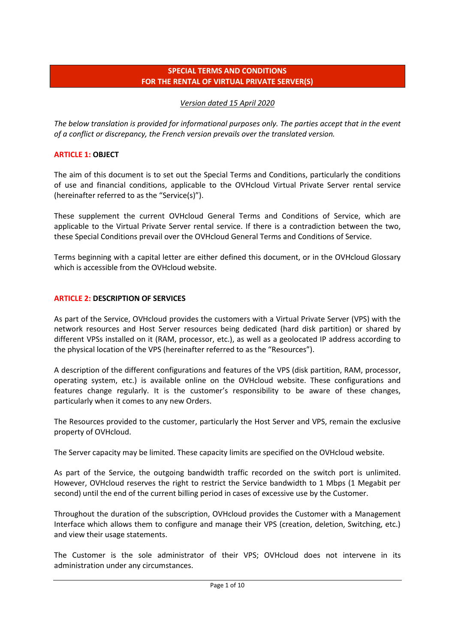## **SPECIAL TERMS AND CONDITIONS FOR THE RENTAL OF VIRTUAL PRIVATE SERVER(S)**

## *Version dated 15 April 2020*

*The below translation is provided for informational purposes only. The parties accept that in the event of a conflict or discrepancy, the French version prevails over the translated version.*

## **ARTICLE 1: OBJECT**

The aim of this document is to set out the Special Terms and Conditions, particularly the conditions of use and financial conditions, applicable to the OVHcloud Virtual Private Server rental service (hereinafter referred to as the "Service(s)").

These supplement the current OVHcloud General Terms and Conditions of Service, which are applicable to the Virtual Private Server rental service. If there is a contradiction between the two, these Special Conditions prevail over the OVHcloud General Terms and Conditions of Service.

Terms beginning with a capital letter are either defined this document, or in the OVHcloud Glossary which is accessible from the OVHcloud website.

### **ARTICLE 2: DESCRIPTION OF SERVICES**

As part of the Service, OVHcloud provides the customers with a Virtual Private Server (VPS) with the network resources and Host Server resources being dedicated (hard disk partition) or shared by different VPSs installed on it (RAM, processor, etc.), as well as a geolocated IP address according to the physical location of the VPS (hereinafter referred to as the "Resources").

A description of the different configurations and features of the VPS (disk partition, RAM, processor, operating system, etc.) is available online on the OVHcloud website. These configurations and features change regularly. It is the customer's responsibility to be aware of these changes, particularly when it comes to any new Orders.

The Resources provided to the customer, particularly the Host Server and VPS, remain the exclusive property of OVHcloud.

The Server capacity may be limited. These capacity limits are specified on the OVHcloud website.

As part of the Service, the outgoing bandwidth traffic recorded on the switch port is unlimited. However, OVHcloud reserves the right to restrict the Service bandwidth to 1 Mbps (1 Megabit per second) until the end of the current billing period in cases of excessive use by the Customer.

Throughout the duration of the subscription, OVHcloud provides the Customer with a Management Interface which allows them to configure and manage their VPS (creation, deletion, Switching, etc.) and view their usage statements.

The Customer is the sole administrator of their VPS; OVHcloud does not intervene in its administration under any circumstances.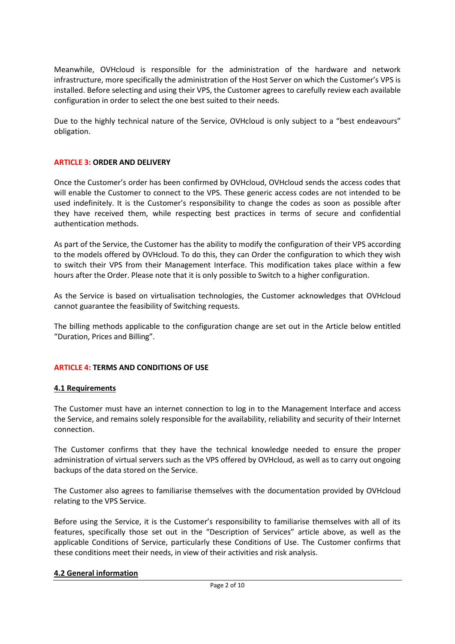Meanwhile, OVHcloud is responsible for the administration of the hardware and network infrastructure, more specifically the administration of the Host Server on which the Customer's VPS is installed. Before selecting and using their VPS, the Customer agrees to carefully review each available configuration in order to select the one best suited to their needs.

Due to the highly technical nature of the Service, OVHcloud is only subject to a "best endeavours" obligation.

#### **ARTICLE 3: ORDER AND DELIVERY**

Once the Customer's order has been confirmed by OVHcloud, OVHcloud sends the access codes that will enable the Customer to connect to the VPS. These generic access codes are not intended to be used indefinitely. It is the Customer's responsibility to change the codes as soon as possible after they have received them, while respecting best practices in terms of secure and confidential authentication methods.

As part of the Service, the Customer has the ability to modify the configuration of their VPS according to the models offered by OVHcloud. To do this, they can Order the configuration to which they wish to switch their VPS from their Management Interface. This modification takes place within a few hours after the Order. Please note that it is only possible to Switch to a higher configuration.

As the Service is based on virtualisation technologies, the Customer acknowledges that OVHcloud cannot guarantee the feasibility of Switching requests.

The billing methods applicable to the configuration change are set out in the Article below entitled "Duration, Prices and Billing".

#### **ARTICLE 4: TERMS AND CONDITIONS OF USE**

#### **4.1 Requirements**

The Customer must have an internet connection to log in to the Management Interface and access the Service, and remains solely responsible for the availability, reliability and security of their Internet connection.

The Customer confirms that they have the technical knowledge needed to ensure the proper administration of virtual servers such as the VPS offered by OVHcloud, as well as to carry out ongoing backups of the data stored on the Service.

The Customer also agrees to familiarise themselves with the documentation provided by OVHcloud relating to the VPS Service.

Before using the Service, it is the Customer's responsibility to familiarise themselves with all of its features, specifically those set out in the "Description of Services" article above, as well as the applicable Conditions of Service, particularly these Conditions of Use. The Customer confirms that these conditions meet their needs, in view of their activities and risk analysis.

#### **4.2 General information**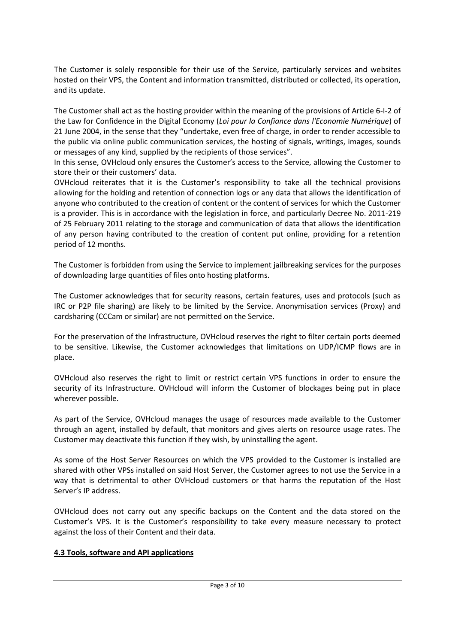The Customer is solely responsible for their use of the Service, particularly services and websites hosted on their VPS, the Content and information transmitted, distributed or collected, its operation, and its update.

The Customer shall act as the hosting provider within the meaning of the provisions of Article 6-I-2 of the Law for Confidence in the Digital Economy (*Loi pour la Confiance dans l'Economie Numérique*) of 21 June 2004, in the sense that they "undertake, even free of charge, in order to render accessible to the public via online public communication services, the hosting of signals, writings, images, sounds or messages of any kind, supplied by the recipients of those services".

In this sense, OVHcloud only ensures the Customer's access to the Service, allowing the Customer to store their or their customers' data.

OVHcloud reiterates that it is the Customer's responsibility to take all the technical provisions allowing for the holding and retention of connection logs or any data that allows the identification of anyone who contributed to the creation of content or the content of services for which the Customer is a provider. This is in accordance with the legislation in force, and particularly Decree No. 2011-219 of 25 February 2011 relating to the storage and communication of data that allows the identification of any person having contributed to the creation of content put online, providing for a retention period of 12 months.

The Customer is forbidden from using the Service to implement jailbreaking services for the purposes of downloading large quantities of files onto hosting platforms.

The Customer acknowledges that for security reasons, certain features, uses and protocols (such as IRC or P2P file sharing) are likely to be limited by the Service. Anonymisation services (Proxy) and cardsharing (CCCam or similar) are not permitted on the Service.

For the preservation of the Infrastructure, OVHcloud reserves the right to filter certain ports deemed to be sensitive. Likewise, the Customer acknowledges that limitations on UDP/ICMP flows are in place.

OVHcloud also reserves the right to limit or restrict certain VPS functions in order to ensure the security of its Infrastructure. OVHcloud will inform the Customer of blockages being put in place wherever possible.

As part of the Service, OVHcloud manages the usage of resources made available to the Customer through an agent, installed by default, that monitors and gives alerts on resource usage rates. The Customer may deactivate this function if they wish, by uninstalling the agent.

As some of the Host Server Resources on which the VPS provided to the Customer is installed are shared with other VPSs installed on said Host Server, the Customer agrees to not use the Service in a way that is detrimental to other OVHcloud customers or that harms the reputation of the Host Server's IP address.

OVHcloud does not carry out any specific backups on the Content and the data stored on the Customer's VPS. It is the Customer's responsibility to take every measure necessary to protect against the loss of their Content and their data.

### **4.3 Tools, software and API applications**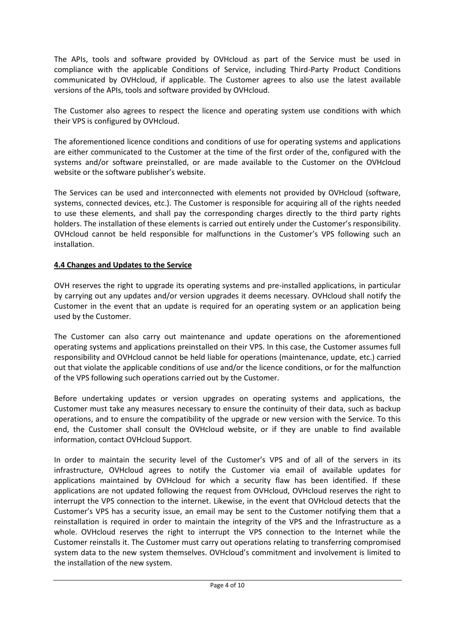The APIs, tools and software provided by OVHcloud as part of the Service must be used in compliance with the applicable Conditions of Service, including Third-Party Product Conditions communicated by OVHcloud, if applicable. The Customer agrees to also use the latest available versions of the APIs, tools and software provided by OVHcloud.

The Customer also agrees to respect the licence and operating system use conditions with which their VPS is configured by OVHcloud.

The aforementioned licence conditions and conditions of use for operating systems and applications are either communicated to the Customer at the time of the first order of the, configured with the systems and/or software preinstalled, or are made available to the Customer on the OVHcloud website or the software publisher's website.

The Services can be used and interconnected with elements not provided by OVHcloud (software, systems, connected devices, etc.). The Customer is responsible for acquiring all of the rights needed to use these elements, and shall pay the corresponding charges directly to the third party rights holders. The installation of these elements is carried out entirely under the Customer's responsibility. OVHcloud cannot be held responsible for malfunctions in the Customer's VPS following such an installation.

# **4.4 Changes and Updates to the Service**

OVH reserves the right to upgrade its operating systems and pre-installed applications, in particular by carrying out any updates and/or version upgrades it deems necessary. OVHcloud shall notify the Customer in the event that an update is required for an operating system or an application being used by the Customer.

The Customer can also carry out maintenance and update operations on the aforementioned operating systems and applications preinstalled on their VPS. In this case, the Customer assumes full responsibility and OVHcloud cannot be held liable for operations (maintenance, update, etc.) carried out that violate the applicable conditions of use and/or the licence conditions, or for the malfunction of the VPS following such operations carried out by the Customer.

Before undertaking updates or version upgrades on operating systems and applications, the Customer must take any measures necessary to ensure the continuity of their data, such as backup operations, and to ensure the compatibility of the upgrade or new version with the Service. To this end, the Customer shall consult the OVHcloud website, or if they are unable to find available information, contact OVHcloud Support.

In order to maintain the security level of the Customer's VPS and of all of the servers in its infrastructure, OVHcloud agrees to notify the Customer via email of available updates for applications maintained by OVHcloud for which a security flaw has been identified. If these applications are not updated following the request from OVHcloud, OVHcloud reserves the right to interrupt the VPS connection to the internet. Likewise, in the event that OVHcloud detects that the Customer's VPS has a security issue, an email may be sent to the Customer notifying them that a reinstallation is required in order to maintain the integrity of the VPS and the Infrastructure as a whole. OVHcloud reserves the right to interrupt the VPS connection to the Internet while the Customer reinstalls it. The Customer must carry out operations relating to transferring compromised system data to the new system themselves. OVHcloud's commitment and involvement is limited to the installation of the new system.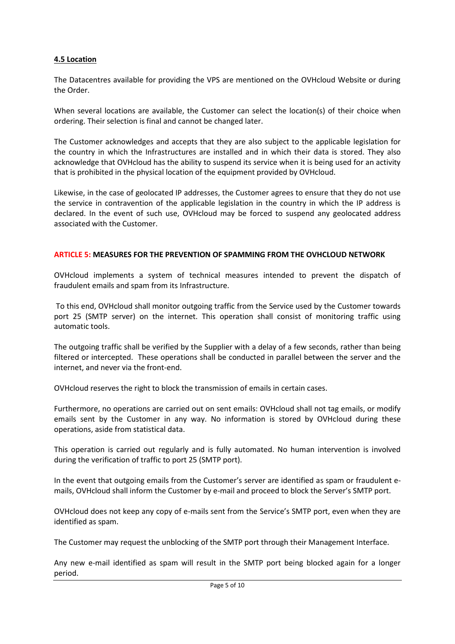## **4.5 Location**

The Datacentres available for providing the VPS are mentioned on the OVHcloud Website or during the Order.

When several locations are available, the Customer can select the location(s) of their choice when ordering. Their selection is final and cannot be changed later.

The Customer acknowledges and accepts that they are also subject to the applicable legislation for the country in which the Infrastructures are installed and in which their data is stored. They also acknowledge that OVHcloud has the ability to suspend its service when it is being used for an activity that is prohibited in the physical location of the equipment provided by OVHcloud.

Likewise, in the case of geolocated IP addresses, the Customer agrees to ensure that they do not use the service in contravention of the applicable legislation in the country in which the IP address is declared. In the event of such use, OVHcloud may be forced to suspend any geolocated address associated with the Customer.

#### **ARTICLE 5: MEASURES FOR THE PREVENTION OF SPAMMING FROM THE OVHCLOUD NETWORK**

OVHcloud implements a system of technical measures intended to prevent the dispatch of fraudulent emails and spam from its Infrastructure.

To this end, OVHcloud shall monitor outgoing traffic from the Service used by the Customer towards port 25 (SMTP server) on the internet. This operation shall consist of monitoring traffic using automatic tools.

The outgoing traffic shall be verified by the Supplier with a delay of a few seconds, rather than being filtered or intercepted. These operations shall be conducted in parallel between the server and the internet, and never via the front-end.

OVHcloud reserves the right to block the transmission of emails in certain cases.

Furthermore, no operations are carried out on sent emails: OVHcloud shall not tag emails, or modify emails sent by the Customer in any way. No information is stored by OVHcloud during these operations, aside from statistical data.

This operation is carried out regularly and is fully automated. No human intervention is involved during the verification of traffic to port 25 (SMTP port).

In the event that outgoing emails from the Customer's server are identified as spam or fraudulent emails, OVHcloud shall inform the Customer by e-mail and proceed to block the Server's SMTP port.

OVHcloud does not keep any copy of e-mails sent from the Service's SMTP port, even when they are identified as spam.

The Customer may request the unblocking of the SMTP port through their Management Interface.

Any new e-mail identified as spam will result in the SMTP port being blocked again for a longer period.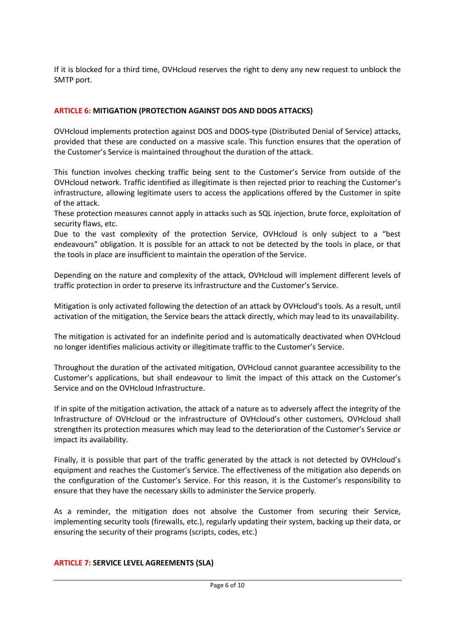If it is blocked for a third time, OVHcloud reserves the right to deny any new request to unblock the SMTP port.

## **ARTICLE 6: MITIGATION (PROTECTION AGAINST DOS AND DDOS ATTACKS)**

OVHcloud implements protection against DOS and DDOS-type (Distributed Denial of Service) attacks, provided that these are conducted on a massive scale. This function ensures that the operation of the Customer's Service is maintained throughout the duration of the attack.

This function involves checking traffic being sent to the Customer's Service from outside of the OVHcloud network. Traffic identified as illegitimate is then rejected prior to reaching the Customer's infrastructure, allowing legitimate users to access the applications offered by the Customer in spite of the attack.

These protection measures cannot apply in attacks such as SQL injection, brute force, exploitation of security flaws, etc.

Due to the vast complexity of the protection Service, OVHcloud is only subject to a "best endeavours" obligation. It is possible for an attack to not be detected by the tools in place, or that the tools in place are insufficient to maintain the operation of the Service.

Depending on the nature and complexity of the attack, OVHcloud will implement different levels of traffic protection in order to preserve its infrastructure and the Customer's Service.

Mitigation is only activated following the detection of an attack by OVHcloud's tools. As a result, until activation of the mitigation, the Service bears the attack directly, which may lead to its unavailability.

The mitigation is activated for an indefinite period and is automatically deactivated when OVHcloud no longer identifies malicious activity or illegitimate traffic to the Customer's Service.

Throughout the duration of the activated mitigation, OVHcloud cannot guarantee accessibility to the Customer's applications, but shall endeavour to limit the impact of this attack on the Customer's Service and on the OVHcloud Infrastructure.

If in spite of the mitigation activation, the attack of a nature as to adversely affect the integrity of the Infrastructure of OVHcloud or the infrastructure of OVHcloud's other customers, OVHcloud shall strengthen its protection measures which may lead to the deterioration of the Customer's Service or impact its availability.

Finally, it is possible that part of the traffic generated by the attack is not detected by OVHcloud's equipment and reaches the Customer's Service. The effectiveness of the mitigation also depends on the configuration of the Customer's Service. For this reason, it is the Customer's responsibility to ensure that they have the necessary skills to administer the Service properly.

As a reminder, the mitigation does not absolve the Customer from securing their Service, implementing security tools (firewalls, etc.), regularly updating their system, backing up their data, or ensuring the security of their programs (scripts, codes, etc.)

### **ARTICLE 7: SERVICE LEVEL AGREEMENTS (SLA)**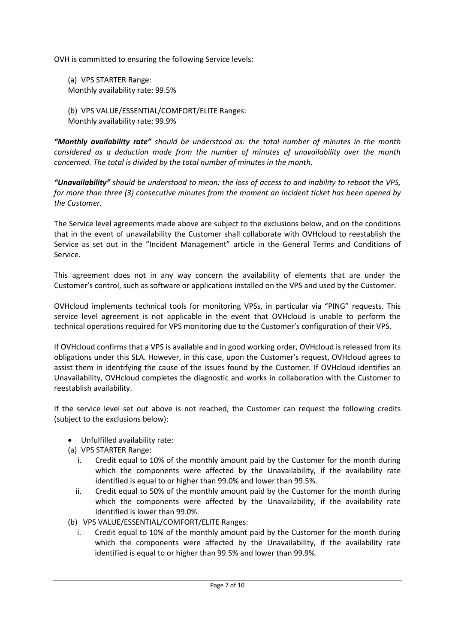OVH is committed to ensuring the following Service levels:

(a) VPS STARTER Range: Monthly availability rate: 99.5%

(b) VPS VALUE/ESSENTIAL/COMFORT/ELITE Ranges: Monthly availability rate: 99.9%

*"Monthly availability rate" should be understood as: the total number of minutes in the month considered as a deduction made from the number of minutes of unavailability over the month concerned. The total is divided by the total number of minutes in the month.* 

*"Unavailability" should be understood to mean: the loss of access to and inability to reboot the VPS, for more than three (3) consecutive minutes from the moment an Incident ticket has been opened by the Customer.*

The Service level agreements made above are subject to the exclusions below, and on the conditions that in the event of unavailability the Customer shall collaborate with OVHcloud to reestablish the Service as set out in the "Incident Management" article in the General Terms and Conditions of Service.

This agreement does not in any way concern the availability of elements that are under the Customer's control, such as software or applications installed on the VPS and used by the Customer.

OVHcloud implements technical tools for monitoring VPSs, in particular via "PING" requests. This service level agreement is not applicable in the event that OVHcloud is unable to perform the technical operations required for VPS monitoring due to the Customer's configuration of their VPS.

If OVHcloud confirms that a VPS is available and in good working order, OVHcloud is released from its obligations under this SLA. However, in this case, upon the Customer's request, OVHcloud agrees to assist them in identifying the cause of the issues found by the Customer. If OVHcloud identifies an Unavailability, OVHcloud completes the diagnostic and works in collaboration with the Customer to reestablish availability.

If the service level set out above is not reached, the Customer can request the following credits (subject to the exclusions below):

- Unfulfilled availability rate:
- (a) VPS STARTER Range:
	- i. Credit equal to 10% of the monthly amount paid by the Customer for the month during which the components were affected by the Unavailability, if the availability rate identified is equal to or higher than 99.0% and lower than 99.5%.
	- ii. Credit equal to 50% of the monthly amount paid by the Customer for the month during which the components were affected by the Unavailability, if the availability rate identified is lower than 99.0%.
- (b) VPS VALUE/ESSENTIAL/COMFORT/ELITE Ranges:
	- i. Credit equal to 10% of the monthly amount paid by the Customer for the month during which the components were affected by the Unavailability, if the availability rate identified is equal to or higher than 99.5% and lower than 99.9%.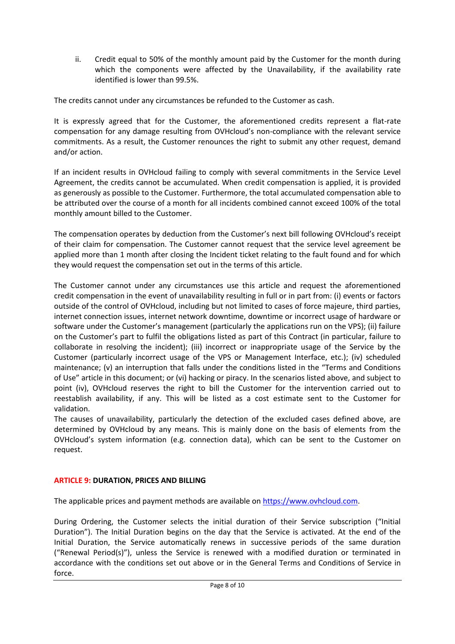ii. Credit equal to 50% of the monthly amount paid by the Customer for the month during which the components were affected by the Unavailability, if the availability rate identified is lower than 99.5%.

The credits cannot under any circumstances be refunded to the Customer as cash.

It is expressly agreed that for the Customer, the aforementioned credits represent a flat-rate compensation for any damage resulting from OVHcloud's non-compliance with the relevant service commitments. As a result, the Customer renounces the right to submit any other request, demand and/or action.

If an incident results in OVHcloud failing to comply with several commitments in the Service Level Agreement, the credits cannot be accumulated. When credit compensation is applied, it is provided as generously as possible to the Customer. Furthermore, the total accumulated compensation able to be attributed over the course of a month for all incidents combined cannot exceed 100% of the total monthly amount billed to the Customer.

The compensation operates by deduction from the Customer's next bill following OVHcloud's receipt of their claim for compensation. The Customer cannot request that the service level agreement be applied more than 1 month after closing the Incident ticket relating to the fault found and for which they would request the compensation set out in the terms of this article.

The Customer cannot under any circumstances use this article and request the aforementioned credit compensation in the event of unavailability resulting in full or in part from: (i) events or factors outside of the control of OVHcloud, including but not limited to cases of force majeure, third parties, internet connection issues, internet network downtime, downtime or incorrect usage of hardware or software under the Customer's management (particularly the applications run on the VPS); (ii) failure on the Customer's part to fulfil the obligations listed as part of this Contract (in particular, failure to collaborate in resolving the incident); (iii) incorrect or inappropriate usage of the Service by the Customer (particularly incorrect usage of the VPS or Management Interface, etc.); (iv) scheduled maintenance; (v) an interruption that falls under the conditions listed in the "Terms and Conditions of Use" article in this document; or (vi) hacking or piracy. In the scenarios listed above, and subject to point (iv), OVHcloud reserves the right to bill the Customer for the intervention carried out to reestablish availability, if any. This will be listed as a cost estimate sent to the Customer for validation.

The causes of unavailability, particularly the detection of the excluded cases defined above, are determined by OVHcloud by any means. This is mainly done on the basis of elements from the OVHcloud's system information (e.g. connection data), which can be sent to the Customer on request.

# **ARTICLE 9: DURATION, PRICES AND BILLING**

The applicable prices and payment methods are available on [https://www.ovhcloud.com.](https://www.ovhcloud.com/)

During Ordering, the Customer selects the initial duration of their Service subscription ("Initial Duration"). The Initial Duration begins on the day that the Service is activated. At the end of the Initial Duration, the Service automatically renews in successive periods of the same duration ("Renewal Period(s)"), unless the Service is renewed with a modified duration or terminated in accordance with the conditions set out above or in the General Terms and Conditions of Service in force.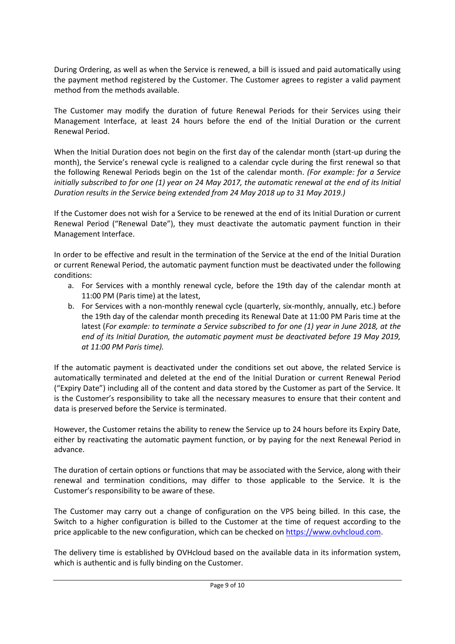During Ordering, as well as when the Service is renewed, a bill is issued and paid automatically using the payment method registered by the Customer. The Customer agrees to register a valid payment method from the methods available.

The Customer may modify the duration of future Renewal Periods for their Services using their Management Interface, at least 24 hours before the end of the Initial Duration or the current Renewal Period.

When the Initial Duration does not begin on the first day of the calendar month (start-up during the month), the Service's renewal cycle is realigned to a calendar cycle during the first renewal so that the following Renewal Periods begin on the 1st of the calendar month. *(For example: for a Service initially subscribed to for one (1) year on 24 May 2017, the automatic renewal at the end of its Initial Duration results in the Service being extended from 24 May 2018 up to 31 May 2019.)*

If the Customer does not wish for a Service to be renewed at the end of its Initial Duration or current Renewal Period ("Renewal Date"), they must deactivate the automatic payment function in their Management Interface.

In order to be effective and result in the termination of the Service at the end of the Initial Duration or current Renewal Period, the automatic payment function must be deactivated under the following conditions:

- a. For Services with a monthly renewal cycle, before the 19th day of the calendar month at 11:00 PM (Paris time) at the latest,
- b. For Services with a non-monthly renewal cycle (quarterly, six-monthly, annually, etc.) before the 19th day of the calendar month preceding its Renewal Date at 11:00 PM Paris time at the latest (*For example: to terminate a Service subscribed to for one (1) year in June 2018, at the end of its Initial Duration, the automatic payment must be deactivated before 19 May 2019, at 11:00 PM Paris time).*

If the automatic payment is deactivated under the conditions set out above, the related Service is automatically terminated and deleted at the end of the Initial Duration or current Renewal Period ("Expiry Date") including all of the content and data stored by the Customer as part of the Service. It is the Customer's responsibility to take all the necessary measures to ensure that their content and data is preserved before the Service is terminated.

However, the Customer retains the ability to renew the Service up to 24 hours before its Expiry Date, either by reactivating the automatic payment function, or by paying for the next Renewal Period in advance.

The duration of certain options or functions that may be associated with the Service, along with their renewal and termination conditions, may differ to those applicable to the Service. It is the Customer's responsibility to be aware of these.

The Customer may carry out a change of configuration on the VPS being billed. In this case, the Switch to a higher configuration is billed to the Customer at the time of request according to the price applicable to the new configuration, which can be checked on [https://www.ovhcloud.com.](https://www.ovhcloud.com/)

The delivery time is established by OVHcloud based on the available data in its information system, which is authentic and is fully binding on the Customer.